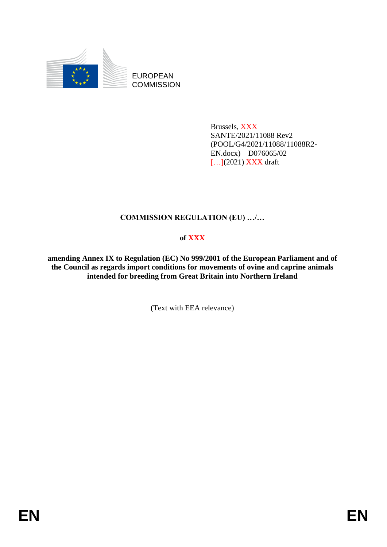

EUROPEAN **COMMISSION** 

> Brussels, XXX SANTE/2021/11088 Rev2 (POOL/G4/2021/11088/11088R2- EN.docx) D076065/02 [...](2021) XXX draft

# **COMMISSION REGULATION (EU) …/…**

# **of XXX**

**amending Annex IX to Regulation (EC) No 999/2001 of the European Parliament and of the Council as regards import conditions for movements of ovine and caprine animals intended for breeding from Great Britain into Northern Ireland**

(Text with EEA relevance)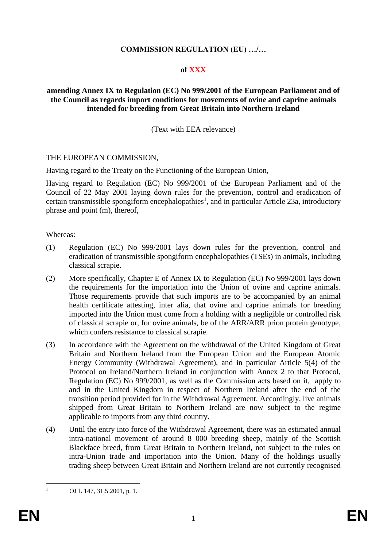## **COMMISSION REGULATION (EU) …/…**

### **of XXX**

### **amending Annex IX to Regulation (EC) No 999/2001 of the European Parliament and of the Council as regards import conditions for movements of ovine and caprine animals intended for breeding from Great Britain into Northern Ireland**

(Text with EEA relevance)

#### THE EUROPEAN COMMISSION,

Having regard to the Treaty on the Functioning of the European Union,

Having regard to Regulation (EC) No 999/2001 of the European Parliament and of the Council of 22 May 2001 laying down rules for the prevention, control and eradication of certain transmissible spongiform encephalopathies<sup>1</sup>, and in particular Article 23a, introductory phrase and point (m), thereof,

#### Whereas:

- (1) Regulation (EC) No 999/2001 lays down rules for the prevention, control and eradication of transmissible spongiform encephalopathies (TSEs) in animals, including classical scrapie.
- (2) More specifically, Chapter E of Annex IX to Regulation (EC) No 999/2001 lays down the requirements for the importation into the Union of ovine and caprine animals. Those requirements provide that such imports are to be accompanied by an animal health certificate attesting, inter alia, that ovine and caprine animals for breeding imported into the Union must come from a holding with a negligible or controlled risk of classical scrapie or, for ovine animals, be of the ARR/ARR prion protein genotype, which confers resistance to classical scrapie.
- (3) In accordance with the Agreement on the withdrawal of the United Kingdom of Great Britain and Northern Ireland from the European Union and the European Atomic Energy Community (Withdrawal Agreement), and in particular Article 5(4) of the Protocol on Ireland/Northern Ireland in conjunction with Annex 2 to that Protocol, Regulation (EC) No 999/2001, as well as the Commission acts based on it, apply to and in the United Kingdom in respect of Northern Ireland after the end of the transition period provided for in the Withdrawal Agreement. Accordingly, live animals shipped from Great Britain to Northern Ireland are now subject to the regime applicable to imports from any third country.
- (4) Until the entry into force of the Withdrawal Agreement, there was an estimated annual intra-national movement of around 8 000 breeding sheep, mainly of the Scottish Blackface breed, from Great Britain to Northern Ireland, not subject to the rules on intra-Union trade and importation into the Union. Many of the holdings usually trading sheep between Great Britain and Northern Ireland are not currently recognised

 $1 \qquad \text{OJ L } 147, 31.5.2001, \text{p. 1}.$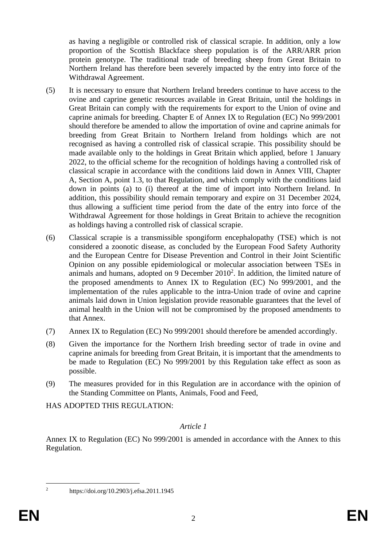as having a negligible or controlled risk of classical scrapie. In addition, only a low proportion of the Scottish Blackface sheep population is of the ARR/ARR prion protein genotype. The traditional trade of breeding sheep from Great Britain to Northern Ireland has therefore been severely impacted by the entry into force of the Withdrawal Agreement.

- (5) It is necessary to ensure that Northern Ireland breeders continue to have access to the ovine and caprine genetic resources available in Great Britain, until the holdings in Great Britain can comply with the requirements for export to the Union of ovine and caprine animals for breeding. Chapter E of Annex IX to Regulation (EC) No 999/2001 should therefore be amended to allow the importation of ovine and caprine animals for breeding from Great Britain to Northern Ireland from holdings which are not recognised as having a controlled risk of classical scrapie. This possibility should be made available only to the holdings in Great Britain which applied, before 1 January 2022, to the official scheme for the recognition of holdings having a controlled risk of classical scrapie in accordance with the conditions laid down in Annex VIII, Chapter A, Section A, point 1.3, to that Regulation, and which comply with the conditions laid down in points (a) to (i) thereof at the time of import into Northern Ireland. In addition, this possibility should remain temporary and expire on 31 December 2024, thus allowing a sufficient time period from the date of the entry into force of the Withdrawal Agreement for those holdings in Great Britain to achieve the recognition as holdings having a controlled risk of classical scrapie.
- (6) Classical scrapie is a transmissible spongiform encephalopathy (TSE) which is not considered a zoonotic disease, as concluded by the European Food Safety Authority and the European Centre for Disease Prevention and Control in their Joint Scientific Opinion on any possible epidemiological or molecular association between TSEs in animals and humans, adopted on 9 December  $2010<sup>2</sup>$ . In addition, the limited nature of the proposed amendments to Annex IX to Regulation (EC) No 999/2001, and the implementation of the rules applicable to the intra-Union trade of ovine and caprine animals laid down in Union legislation provide reasonable guarantees that the level of animal health in the Union will not be compromised by the proposed amendments to that Annex.
- (7) Annex IX to Regulation (EC) No 999/2001 should therefore be amended accordingly.
- (8) Given the importance for the Northern Irish breeding sector of trade in ovine and caprine animals for breeding from Great Britain, it is important that the amendments to be made to Regulation (EC) No 999/2001 by this Regulation take effect as soon as possible.
- (9) The measures provided for in this Regulation are in accordance with the opinion of the Standing Committee on Plants, Animals, Food and Feed,

HAS ADOPTED THIS REGULATION:

## *Article 1*

Annex IX to Regulation (EC) No 999/2001 is amended in accordance with the Annex to this Regulation.

<sup>2</sup> https://doi.org/10.2903/j.efsa.2011.1945